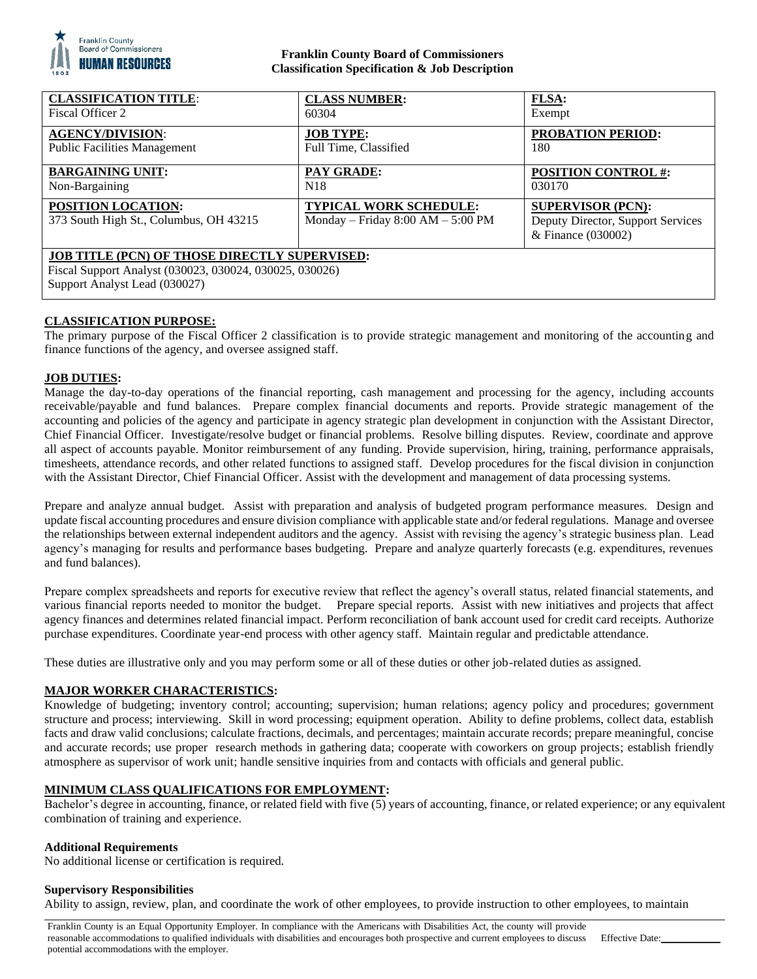

### **Franklin County Board of Commissioners Classification Specification & Job Description**

| <b>CLASSIFICATION TITLE:</b>                                                                                                                     | <b>CLASS NUMBER:</b>                                                 | <b>FLSA:</b>                                                                        |
|--------------------------------------------------------------------------------------------------------------------------------------------------|----------------------------------------------------------------------|-------------------------------------------------------------------------------------|
| Fiscal Officer 2                                                                                                                                 | 60304                                                                | Exempt                                                                              |
| <b>AGENCY/DIVISION:</b>                                                                                                                          | <b>JOB TYPE:</b>                                                     | <b>PROBATION PERIOD:</b>                                                            |
| <b>Public Facilities Management</b>                                                                                                              | Full Time, Classified                                                | 180                                                                                 |
| <b>BARGAINING UNIT:</b>                                                                                                                          | <b>PAY GRADE:</b>                                                    | <b>POSITION CONTROL #:</b>                                                          |
| Non-Bargaining                                                                                                                                   | N <sub>18</sub>                                                      | 030170                                                                              |
| <b>POSITION LOCATION:</b><br>373 South High St., Columbus, OH 43215                                                                              | <b>TYPICAL WORK SCHEDULE:</b><br>Monday – Friday $8:00 AM - 5:00 PM$ | <b>SUPERVISOR (PCN):</b><br>Deputy Director, Support Services<br>& Finance (030002) |
| <b>JOB TITLE (PCN) OF THOSE DIRECTLY SUPERVISED:</b><br>Fiscal Support Analyst (030023, 030024, 030025, 030026)<br>Support Analyst Lead (030027) |                                                                      |                                                                                     |

## **CLASSIFICATION PURPOSE:**

The primary purpose of the Fiscal Officer 2 classification is to provide strategic management and monitoring of the accounting and finance functions of the agency, and oversee assigned staff.

## **JOB DUTIES:**

Manage the day-to-day operations of the financial reporting, cash management and processing for the agency, including accounts receivable/payable and fund balances. Prepare complex financial documents and reports. Provide strategic management of the accounting and policies of the agency and participate in agency strategic plan development in conjunction with the Assistant Director, Chief Financial Officer. Investigate/resolve budget or financial problems. Resolve billing disputes. Review, coordinate and approve all aspect of accounts payable. Monitor reimbursement of any funding. Provide supervision, hiring, training, performance appraisals, timesheets, attendance records, and other related functions to assigned staff. Develop procedures for the fiscal division in conjunction with the Assistant Director, Chief Financial Officer. Assist with the development and management of data processing systems.

Prepare and analyze annual budget. Assist with preparation and analysis of budgeted program performance measures. Design and update fiscal accounting procedures and ensure division compliance with applicable state and/or federal regulations. Manage and oversee the relationships between external independent auditors and the agency. Assist with revising the agency's strategic business plan. Lead agency's managing for results and performance bases budgeting. Prepare and analyze quarterly forecasts (e.g. expenditures, revenues and fund balances).

Prepare complex spreadsheets and reports for executive review that reflect the agency's overall status, related financial statements, and various financial reports needed to monitor the budget. Prepare special reports. Assist with new initiatives and projects that affect agency finances and determines related financial impact. Perform reconciliation of bank account used for credit card receipts. Authorize purchase expenditures. Coordinate year-end process with other agency staff. Maintain regular and predictable attendance.

These duties are illustrative only and you may perform some or all of these duties or other job-related duties as assigned.

### **MAJOR WORKER CHARACTERISTICS:**

Knowledge of budgeting; inventory control; accounting; supervision; human relations; agency policy and procedures; government structure and process; interviewing. Skill in word processing; equipment operation. Ability to define problems, collect data, establish facts and draw valid conclusions; calculate fractions, decimals, and percentages; maintain accurate records; prepare meaningful, concise and accurate records; use proper research methods in gathering data; cooperate with coworkers on group projects; establish friendly atmosphere as supervisor of work unit; handle sensitive inquiries from and contacts with officials and general public.

### **MINIMUM CLASS QUALIFICATIONS FOR EMPLOYMENT:**

Bachelor's degree in accounting, finance, or related field with five (5) years of accounting, finance, or related experience; or any equivalent combination of training and experience.

### **Additional Requirements**

No additional license or certification is required.

#### **Supervisory Responsibilities**

Ability to assign, review, plan, and coordinate the work of other employees, to provide instruction to other employees, to maintain